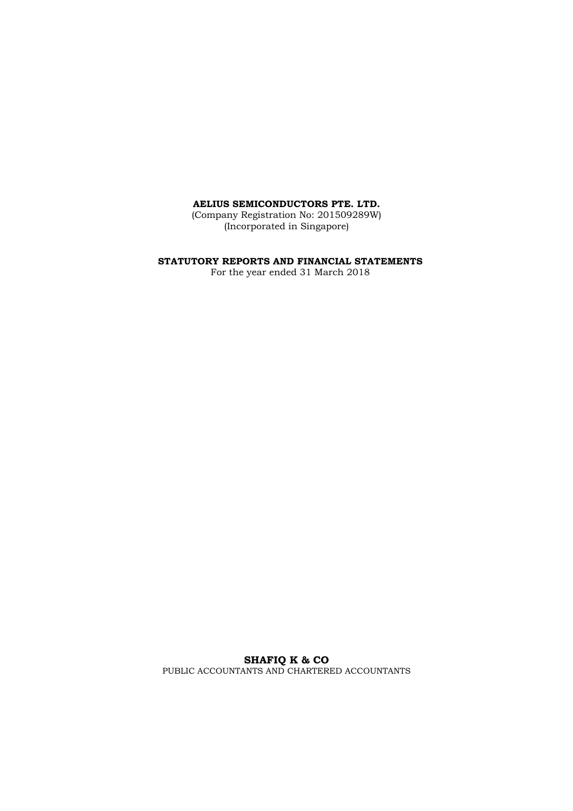(Company Registration No: 201509289W) (Incorporated in Singapore)

#### **STATUTORY REPORTS AND FINANCIAL STATEMENTS**

For the year ended 31 March 2018

**SHAFIQ K & CO**  PUBLIC ACCOUNTANTS AND CHARTERED ACCOUNTANTS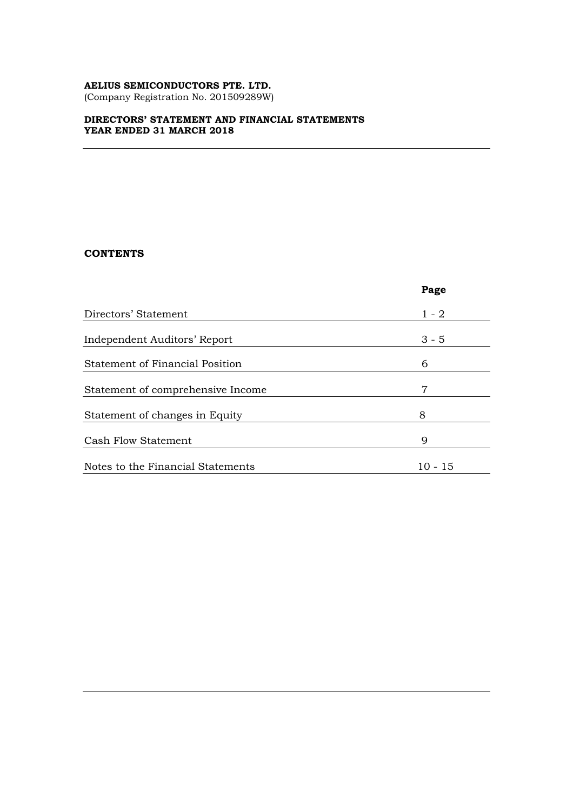(Company Registration No. 201509289W)

#### **DIRECTORS' STATEMENT AND FINANCIAL STATEMENTS YEAR ENDED 31 MARCH 2018**

## **CONTENTS**

|                                        | Page    |
|----------------------------------------|---------|
| Directors' Statement                   | $1 - 2$ |
| Independent Auditors' Report           | $3 - 5$ |
| <b>Statement of Financial Position</b> | 6       |
| Statement of comprehensive Income      | 7       |
| Statement of changes in Equity         | 8       |
| Cash Flow Statement                    | 9       |
| Notes to the Financial Statements      | 10 - 15 |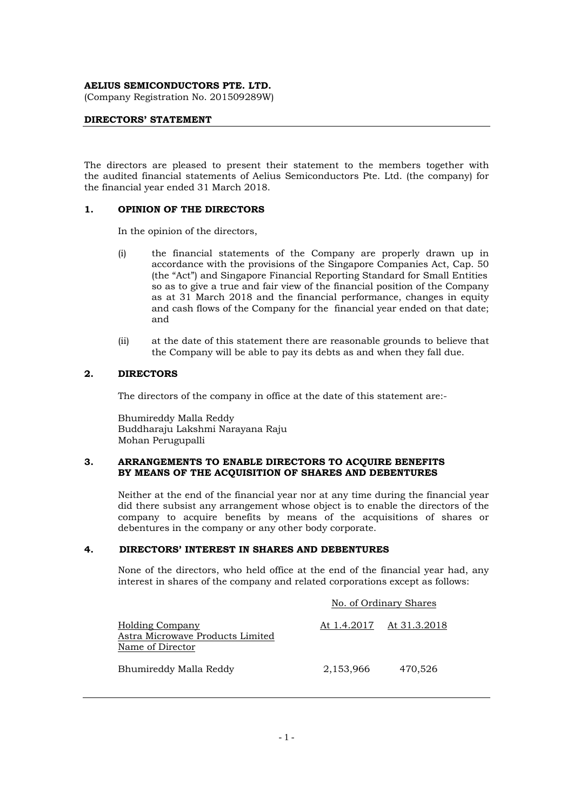(Company Registration No. 201509289W)

#### **DIRECTORS' STATEMENT**

The directors are pleased to present their statement to the members together with the audited financial statements of Aelius Semiconductors Pte. Ltd. (the company) for the financial year ended 31 March 2018.

#### **1. OPINION OF THE DIRECTORS**

In the opinion of the directors,

- (i) the financial statements of the Company are properly drawn up in accordance with the provisions of the Singapore Companies Act, Cap. 50 (the "Act") and Singapore Financial Reporting Standard for Small Entities so as to give a true and fair view of the financial position of the Company as at 31 March 2018 and the financial performance, changes in equity and cash flows of the Company for the financial year ended on that date; and
- (ii) at the date of this statement there are reasonable grounds to believe that the Company will be able to pay its debts as and when they fall due.

#### **2. DIRECTORS**

The directors of the company in office at the date of this statement are:-

Bhumireddy Malla Reddy Buddharaju Lakshmi Narayana Raju Mohan Perugupalli

#### **3. ARRANGEMENTS TO ENABLE DIRECTORS TO ACQUIRE BENEFITS BY MEANS OF THE ACQUISITION OF SHARES AND DEBENTURES**

Neither at the end of the financial year nor at any time during the financial year did there subsist any arrangement whose object is to enable the directors of the company to acquire benefits by means of the acquisitions of shares or debentures in the company or any other body corporate.

#### **4. DIRECTORS' INTEREST IN SHARES AND DEBENTURES**

None of the directors, who held office at the end of the financial year had, any interest in shares of the company and related corporations except as follows:

|                                                                         | No. of Ordinary Shares |              |  |
|-------------------------------------------------------------------------|------------------------|--------------|--|
| Holding Company<br>Astra Microwave Products Limited<br>Name of Director | At 1.4.2017            | At 31.3.2018 |  |
| Bhumireddy Malla Reddy                                                  | 2,153,966              | 470,526      |  |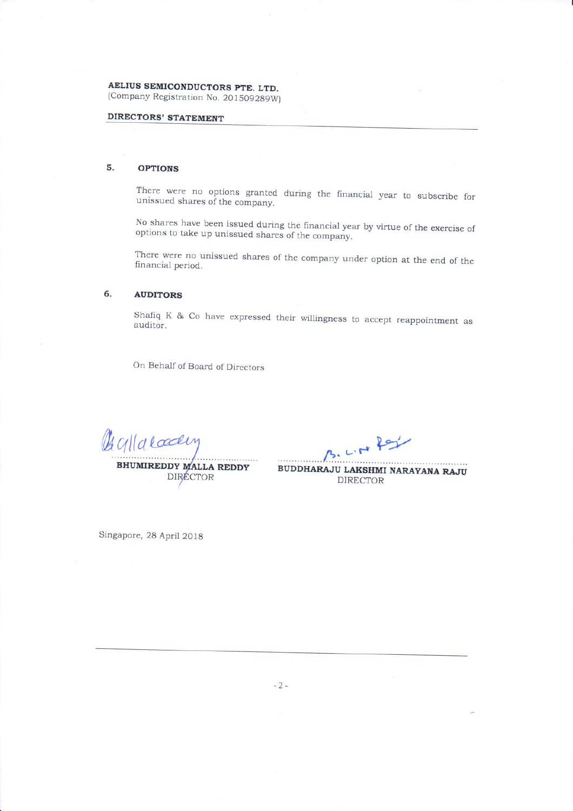AELIUS SEMICONDUCTORS PTE. LTD. (Company Registration No. 201509289W)

## **DIRECTORS' STATEMENT**

#### $5.$ **OPTIONS**

There were no options granted during the financial year to subscribe for unissued shares of the company.

No shares have been issued during the financial year by virtue of the exercise of options to take up unissued shares of the company.

There were no unissued shares of the company under option at the end of the financial period.

#### 6. **AUDITORS**

Shafiq K & Co have expressed their willingness to accept reappointment as auditor.

On Behalf of Board of Directors

Gallacady

**BHUMIREDDY MALLA REDDY** DIRECTOR

LIN Rey

BUDDHARAJU LAKSHMI NARAYANA RAJU **DIRECTOR** 

Singapore, 28 April 2018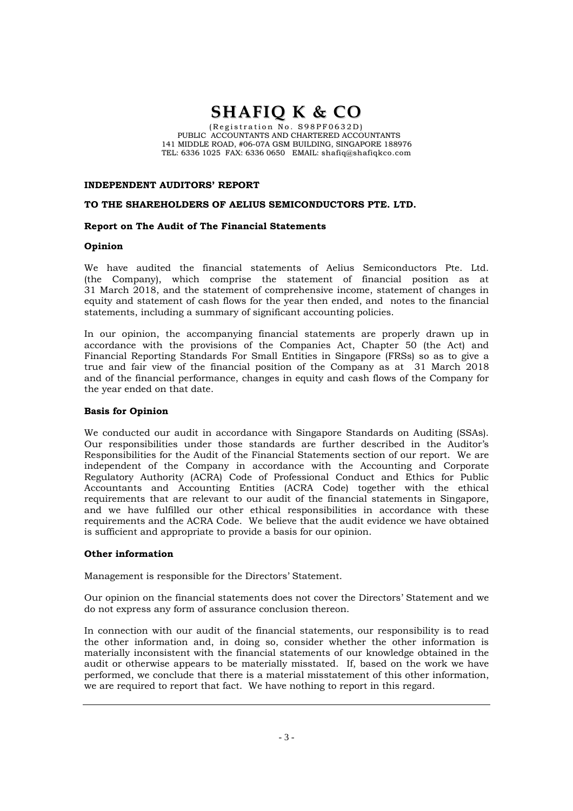# **SHAFIQ K & CO**

 $(Region No. S98PF0632D)$ PUBLIC ACCOUNTANTS AND CHARTERED ACCOUNTANTS 141 MIDDLE ROAD, #06-07A GSM BUILDING, SINGAPORE 188976 TEL: 6336 1025 FAX: 6336 0650 EMAIL: shafiq@shafiqkco.com

#### **INDEPENDENT AUDITORS' REPORT**

#### **TO THE SHAREHOLDERS OF AELIUS SEMICONDUCTORS PTE. LTD.**

#### **Report on The Audit of The Financial Statements**

#### **Opinion**

We have audited the financial statements of Aelius Semiconductors Pte. Ltd. (the Company), which comprise the statement of financial position as at 31 March 2018, and the statement of comprehensive income, statement of changes in equity and statement of cash flows for the year then ended, and notes to the financial statements, including a summary of significant accounting policies.

In our opinion, the accompanying financial statements are properly drawn up in accordance with the provisions of the Companies Act, Chapter 50 (the Act) and Financial Reporting Standards For Small Entities in Singapore (FRSs) so as to give a true and fair view of the financial position of the Company as at 31 March 2018 and of the financial performance, changes in equity and cash flows of the Company for the year ended on that date.

#### **Basis for Opinion**

We conducted our audit in accordance with Singapore Standards on Auditing (SSAs). Our responsibilities under those standards are further described in the Auditor's Responsibilities for the Audit of the Financial Statements section of our report. We are independent of the Company in accordance with the Accounting and Corporate Regulatory Authority (ACRA) Code of Professional Conduct and Ethics for Public Accountants and Accounting Entities (ACRA Code) together with the ethical requirements that are relevant to our audit of the financial statements in Singapore, and we have fulfilled our other ethical responsibilities in accordance with these requirements and the ACRA Code. We believe that the audit evidence we have obtained is sufficient and appropriate to provide a basis for our opinion.

#### **Other information**

Management is responsible for the Directors' Statement.

Our opinion on the financial statements does not cover the Directors' Statement and we do not express any form of assurance conclusion thereon.

In connection with our audit of the financial statements, our responsibility is to read the other information and, in doing so, consider whether the other information is materially inconsistent with the financial statements of our knowledge obtained in the audit or otherwise appears to be materially misstated. If, based on the work we have performed, we conclude that there is a material misstatement of this other information, we are required to report that fact. We have nothing to report in this regard.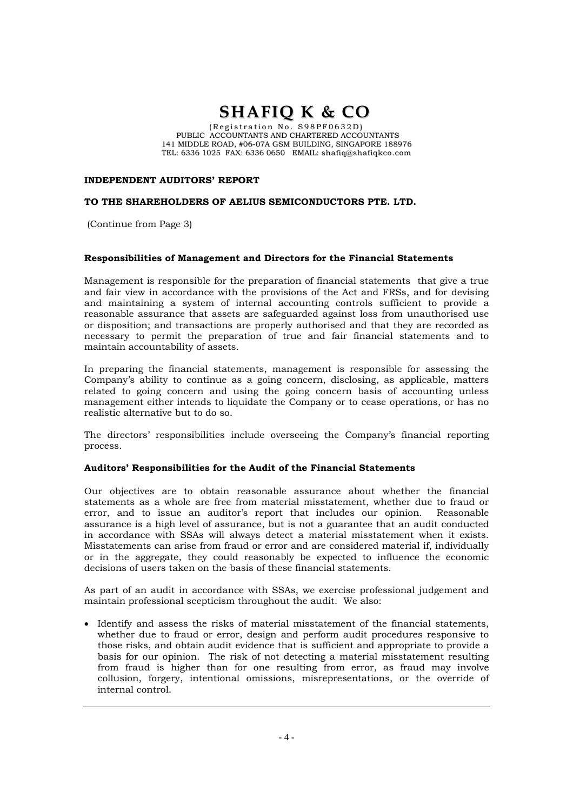# **SHAFIQ K & CO**

 $(Region No. S98PF0632D)$ PUBLIC ACCOUNTANTS AND CHARTERED ACCOUNTANTS 141 MIDDLE ROAD, #06-07A GSM BUILDING, SINGAPORE 188976 TEL: 6336 1025 FAX: 6336 0650 EMAIL: shafiq@shafiqkco.com

#### **INDEPENDENT AUDITORS' REPORT**

#### **TO THE SHAREHOLDERS OF AELIUS SEMICONDUCTORS PTE. LTD.**

(Continue from Page 3)

#### **Responsibilities of Management and Directors for the Financial Statements**

Management is responsible for the preparation of financial statements that give a true and fair view in accordance with the provisions of the Act and FRSs, and for devising and maintaining a system of internal accounting controls sufficient to provide a reasonable assurance that assets are safeguarded against loss from unauthorised use or disposition; and transactions are properly authorised and that they are recorded as necessary to permit the preparation of true and fair financial statements and to maintain accountability of assets.

In preparing the financial statements, management is responsible for assessing the Company's ability to continue as a going concern, disclosing, as applicable, matters related to going concern and using the going concern basis of accounting unless management either intends to liquidate the Company or to cease operations, or has no realistic alternative but to do so.

The directors' responsibilities include overseeing the Company's financial reporting process.

#### **Auditors' Responsibilities for the Audit of the Financial Statements**

Our objectives are to obtain reasonable assurance about whether the financial statements as a whole are free from material misstatement, whether due to fraud or error, and to issue an auditor's report that includes our opinion. Reasonable assurance is a high level of assurance, but is not a guarantee that an audit conducted in accordance with SSAs will always detect a material misstatement when it exists. Misstatements can arise from fraud or error and are considered material if, individually or in the aggregate, they could reasonably be expected to influence the economic decisions of users taken on the basis of these financial statements.

As part of an audit in accordance with SSAs, we exercise professional judgement and maintain professional scepticism throughout the audit. We also:

 Identify and assess the risks of material misstatement of the financial statements, whether due to fraud or error, design and perform audit procedures responsive to those risks, and obtain audit evidence that is sufficient and appropriate to provide a basis for our opinion. The risk of not detecting a material misstatement resulting from fraud is higher than for one resulting from error, as fraud may involve collusion, forgery, intentional omissions, misrepresentations, or the override of internal control.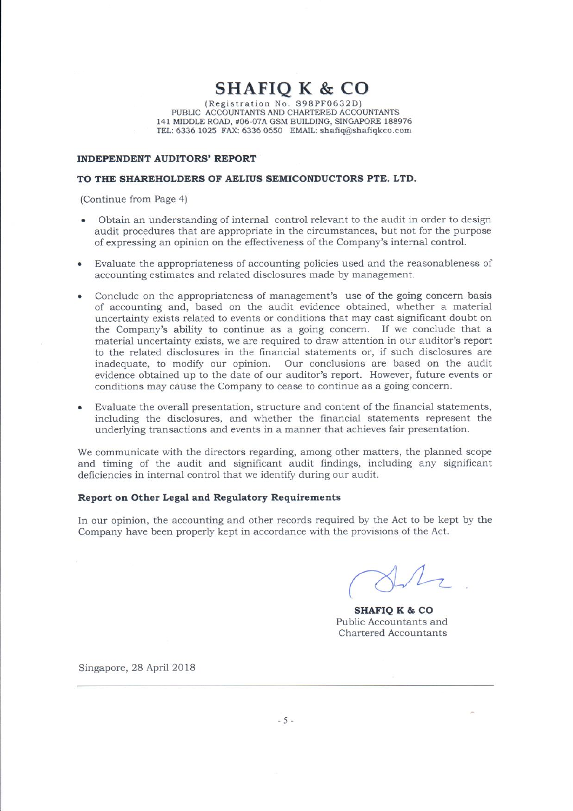$\mathop{\bf SHAFIQ}\limits_{\text{(Region No. S98PFO632D)}}\mathop{\bf K}_{\text{(Registribution No. S98PFO632D)}}$  PUBLIC ACCOUNTANTS AND CHARTERED ACCOUNTANTS 141 MIDDLE ROAD, #06-07A GSM BUILDING, SINGAPORE 188976 TEL: 6336 1025 FAX: 6336 0650 EMAIL: shafiq@shafiqkco.com

#### **INDEPENDENT AUDITORS' REPORT**

#### TO THE SHAREHOLDERS OF AELIUS SEMICONDUCTORS PTE, LTD.

(Continue from Page 4)

- Obtain an understanding of internal control relevant to the audit in order to design audit procedures that are appropriate in the circumstances, but not for the purpose of expressing an opinion on the effectiveness of the Company's internal control.
- Evaluate the appropriateness of accounting policies used and the reasonableness of accounting estimates and related disclosures made by management.
- Conclude on the appropriateness of management's use of the going concern basis of accounting and, based on the audit evidence obtained, whether a material uncertainty exists related to events or conditions that may cast significant doubt on the Company's ability to continue as a going concern. If we conclude that a material uncertainty exists, we are required to draw attention in our auditor's report to the related disclosures in the financial statements or, if such disclosures are inadequate, to modify our opinion. Our conclusions are based on the audit evidence obtained up to the date of our auditor's report. However, future events or conditions may cause the Company to cease to continue as a going concern.
- Evaluate the overall presentation, structure and content of the financial statements, including the disclosures, and whether the financial statements represent the underlying transactions and events in a manner that achieves fair presentation.

We communicate with the directors regarding, among other matters, the planned scope and timing of the audit and significant audit findings, including any significant deficiencies in internal control that we identify during our audit.

#### Report on Other Legal and Regulatory Requirements

In our opinion, the accounting and other records required by the Act to be kept by the Company have been properly kept in accordance with the provisions of the Act.

**SHAFIO K & CO** Public Accountants and **Chartered Accountants** 

Singapore, 28 April 2018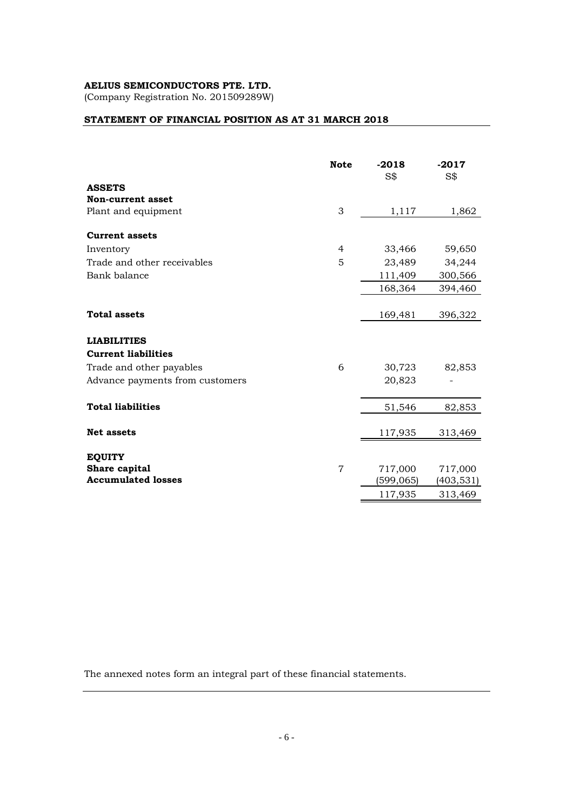(Company Registration No. 201509289W)

### **STATEMENT OF FINANCIAL POSITION AS AT 31 MARCH 2018**

|                                 | <b>Note</b>    | $-2018$<br>S\$ | $-2017$<br>S\$ |
|---------------------------------|----------------|----------------|----------------|
| <b>ASSETS</b>                   |                |                |                |
| <b>Non-current asset</b>        |                |                |                |
| Plant and equipment             | 3              | 1,117          | 1,862          |
| <b>Current assets</b>           |                |                |                |
| Inventory                       | $\overline{4}$ | 33,466         | 59,650         |
| Trade and other receivables     | 5              | 23,489         | 34,244         |
| Bank balance                    |                | 111,409        | 300,566        |
|                                 |                | 168,364        | 394,460        |
|                                 |                |                |                |
| <b>Total assets</b>             |                | 169,481        | 396,322        |
| <b>LIABILITIES</b>              |                |                |                |
| <b>Current liabilities</b>      |                |                |                |
| Trade and other payables        | 6              | 30,723         | 82,853         |
| Advance payments from customers |                | 20,823         |                |
|                                 |                |                |                |
| <b>Total liabilities</b>        |                | 51,546         | 82,853         |
|                                 |                |                |                |
| <b>Net assets</b>               |                | 117,935        | 313,469        |
| <b>EQUITY</b>                   |                |                |                |
| Share capital                   | $\overline{7}$ | 717,000        | 717,000        |
| <b>Accumulated losses</b>       |                | (599, 065)     | (403,531)      |
|                                 |                | 117,935        | 313,469        |

The annexed notes form an integral part of these financial statements.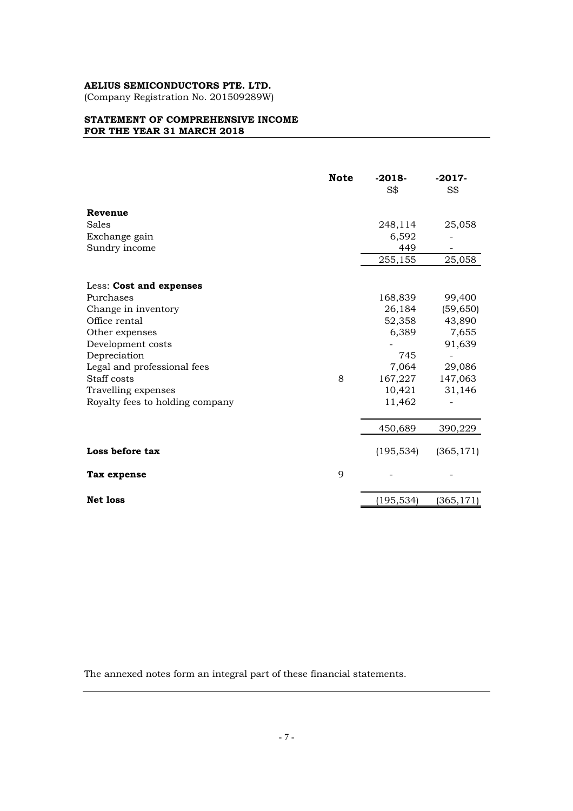(Company Registration No. 201509289W)

#### **STATEMENT OF COMPREHENSIVE INCOME FOR THE YEAR 31 MARCH 2018**

|                                 | <b>Note</b> | $-2018-$<br>S\$ | $-2017-$<br>S\$ |
|---------------------------------|-------------|-----------------|-----------------|
| Revenue                         |             |                 |                 |
| Sales                           |             | 248,114         | 25,058          |
| Exchange gain                   |             | 6,592           |                 |
| Sundry income                   |             | 449             |                 |
|                                 |             | 255,155         | 25,058          |
| Less: Cost and expenses         |             |                 |                 |
| Purchases                       |             | 168,839         | 99,400          |
| Change in inventory             |             | 26,184          | (59, 650)       |
| Office rental                   |             | 52,358          | 43,890          |
| Other expenses                  |             | 6,389           | 7,655           |
| Development costs               |             |                 | 91,639          |
| Depreciation                    |             | 745             |                 |
| Legal and professional fees     |             | 7,064           | 29,086          |
| Staff costs                     | 8           | 167,227         | 147,063         |
| Travelling expenses             |             | 10,421          | 31,146          |
| Royalty fees to holding company |             | 11,462          |                 |
|                                 |             | 450,689         | 390,229         |
| Loss before tax                 |             | (195, 534)      | (365, 171)      |
| Tax expense                     | 9           |                 |                 |
| <b>Net loss</b>                 |             | (195, 534)      | (365,171        |

The annexed notes form an integral part of these financial statements.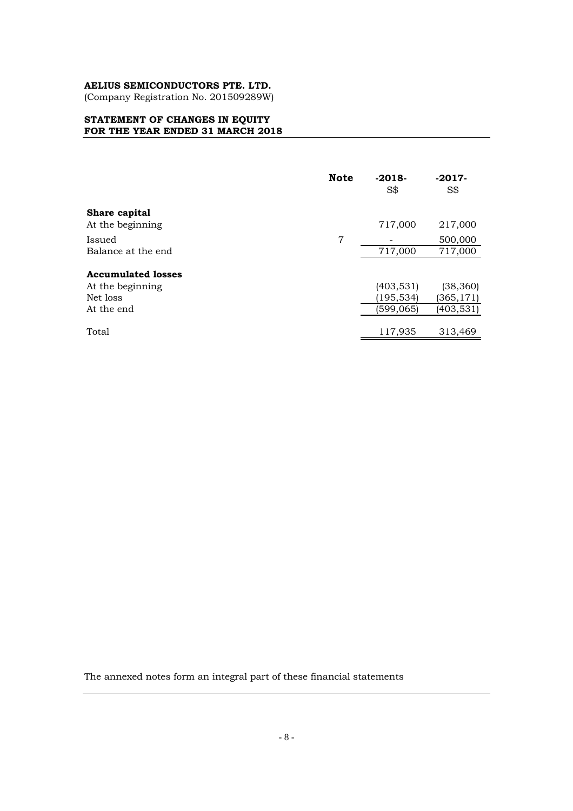(Company Registration No. 201509289W)

#### **STATEMENT OF CHANGES IN EQUITY FOR THE YEAR ENDED 31 MARCH 2018**

|                                   | <b>Note</b> | $-2018-$<br>S\$ | $-2017-$<br>$S\$   |
|-----------------------------------|-------------|-----------------|--------------------|
| Share capital<br>At the beginning |             | 717,000         | 217,000            |
| Issued<br>Balance at the end      | 7           | 717,000         | 500,000<br>717,000 |
| <b>Accumulated losses</b>         |             |                 |                    |
| At the beginning                  |             | (403, 531)      | (38, 360)          |
| Net loss                          |             | (195,534)       | (365,171)          |
| At the end                        |             | (599,065)       | (403,531)          |
| Total                             |             | 117,935         | 313,469            |

The annexed notes form an integral part of these financial statements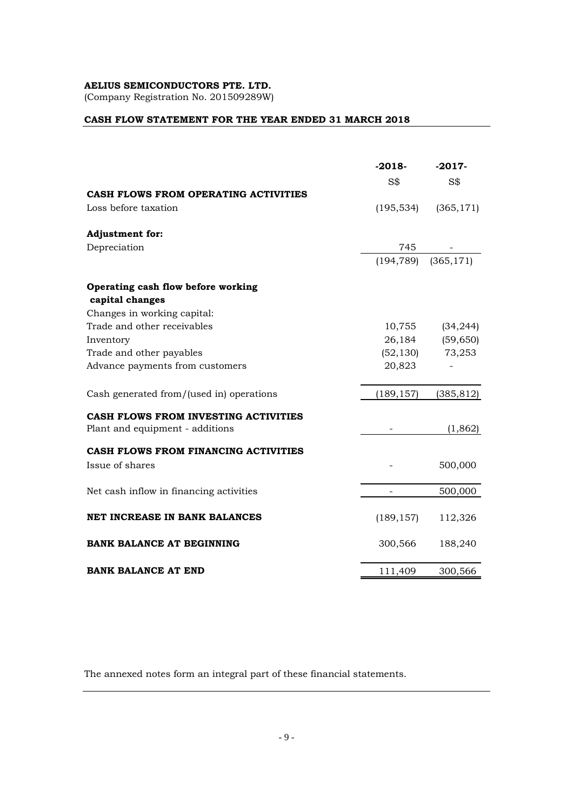(Company Registration No. 201509289W)

### **CASH FLOW STATEMENT FOR THE YEAR ENDED 31 MARCH 2018**

|                                          | $-2018-$<br>S\$ | $-2017-$<br>S\$ |
|------------------------------------------|-----------------|-----------------|
| CASH FLOWS FROM OPERATING ACTIVITIES     |                 |                 |
| Loss before taxation                     | (195, 534)      | (365, 171)      |
| <b>Adjustment for:</b>                   |                 |                 |
| Depreciation                             | 745             |                 |
|                                          | (194, 789)      | (365, 171)      |
| Operating cash flow before working       |                 |                 |
| capital changes                          |                 |                 |
| Changes in working capital:              |                 |                 |
| Trade and other receivables              | 10,755          | (34, 244)       |
| Inventory                                | 26,184          | (59, 650)       |
| Trade and other payables                 | (52, 130)       | 73,253          |
| Advance payments from customers          | 20,823          |                 |
| Cash generated from/(used in) operations | (189, 157)      | (385, 812)      |
| CASH FLOWS FROM INVESTING ACTIVITIES     |                 |                 |
| Plant and equipment - additions          |                 | (1,862)         |
| CASH FLOWS FROM FINANCING ACTIVITIES     |                 |                 |
| Issue of shares                          |                 | 500,000         |
| Net cash inflow in financing activities  |                 | 500,000         |
| <b>NET INCREASE IN BANK BALANCES</b>     | (189, 157)      | 112,326         |
| <b>BANK BALANCE AT BEGINNING</b>         | 300,566         | 188,240         |
| <b>BANK BALANCE AT END</b>               | 111,409         | 300,566         |

The annexed notes form an integral part of these financial statements.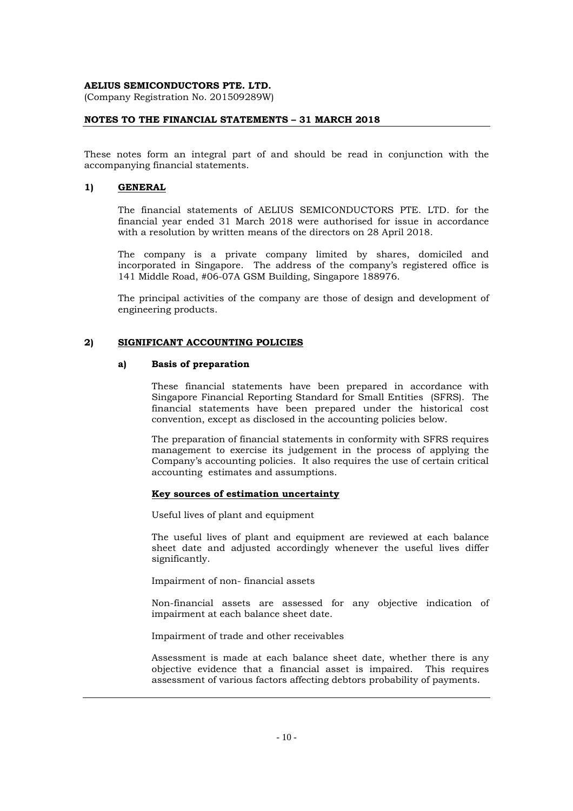(Company Registration No. 201509289W)

#### **NOTES TO THE FINANCIAL STATEMENTS – 31 MARCH 2018**

These notes form an integral part of and should be read in conjunction with the accompanying financial statements.

#### **1) GENERAL**

The financial statements of AELIUS SEMICONDUCTORS PTE. LTD. for the financial year ended 31 March 2018 were authorised for issue in accordance with a resolution by written means of the directors on 28 April 2018.

The company is a private company limited by shares, domiciled and incorporated in Singapore. The address of the company's registered office is 141 Middle Road, #06-07A GSM Building, Singapore 188976.

The principal activities of the company are those of design and development of engineering products.

#### **2) SIGNIFICANT ACCOUNTING POLICIES**

#### **a) Basis of preparation**

These financial statements have been prepared in accordance with Singapore Financial Reporting Standard for Small Entities (SFRS). The financial statements have been prepared under the historical cost convention, except as disclosed in the accounting policies below.

The preparation of financial statements in conformity with SFRS requires management to exercise its judgement in the process of applying the Company's accounting policies. It also requires the use of certain critical accounting estimates and assumptions.

#### **Key sources of estimation uncertainty**

Useful lives of plant and equipment

The useful lives of plant and equipment are reviewed at each balance sheet date and adjusted accordingly whenever the useful lives differ significantly.

Impairment of non- financial assets

Non-financial assets are assessed for any objective indication of impairment at each balance sheet date.

Impairment of trade and other receivables

Assessment is made at each balance sheet date, whether there is any objective evidence that a financial asset is impaired. This requires assessment of various factors affecting debtors probability of payments.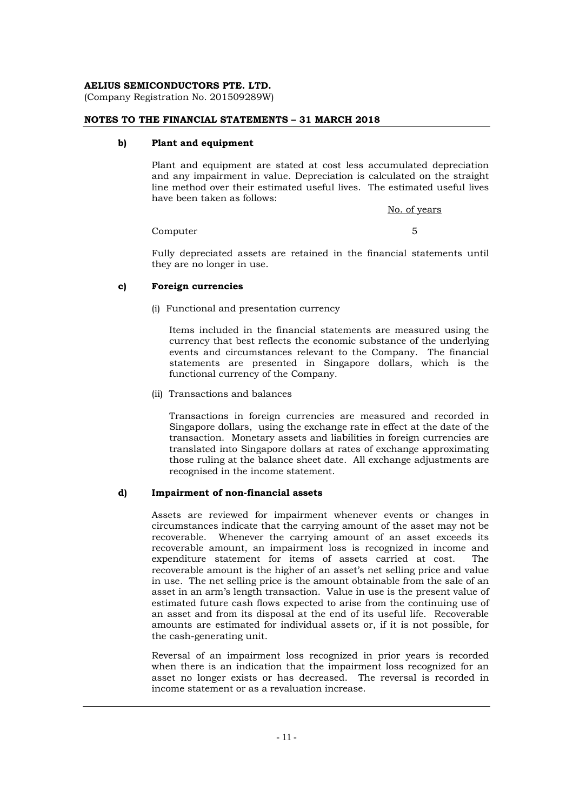(Company Registration No. 201509289W)

#### **NOTES TO THE FINANCIAL STATEMENTS – 31 MARCH 2018**

#### **b) Plant and equipment**

Plant and equipment are stated at cost less accumulated depreciation and any impairment in value. Depreciation is calculated on the straight line method over their estimated useful lives. The estimated useful lives have been taken as follows:

No. of years

#### Computer 5

Fully depreciated assets are retained in the financial statements until they are no longer in use.

#### **c) Foreign currencies**

#### (i) Functional and presentation currency

Items included in the financial statements are measured using the currency that best reflects the economic substance of the underlying events and circumstances relevant to the Company. The financial statements are presented in Singapore dollars, which is the functional currency of the Company.

(ii) Transactions and balances

Transactions in foreign currencies are measured and recorded in Singapore dollars, using the exchange rate in effect at the date of the transaction. Monetary assets and liabilities in foreign currencies are translated into Singapore dollars at rates of exchange approximating those ruling at the balance sheet date. All exchange adjustments are recognised in the income statement.

#### **d) Impairment of non-financial assets**

Assets are reviewed for impairment whenever events or changes in circumstances indicate that the carrying amount of the asset may not be recoverable. Whenever the carrying amount of an asset exceeds its recoverable amount, an impairment loss is recognized in income and expenditure statement for items of assets carried at cost. The recoverable amount is the higher of an asset's net selling price and value in use. The net selling price is the amount obtainable from the sale of an asset in an arm's length transaction. Value in use is the present value of estimated future cash flows expected to arise from the continuing use of an asset and from its disposal at the end of its useful life. Recoverable amounts are estimated for individual assets or, if it is not possible, for the cash-generating unit.

Reversal of an impairment loss recognized in prior years is recorded when there is an indication that the impairment loss recognized for an asset no longer exists or has decreased. The reversal is recorded in income statement or as a revaluation increase.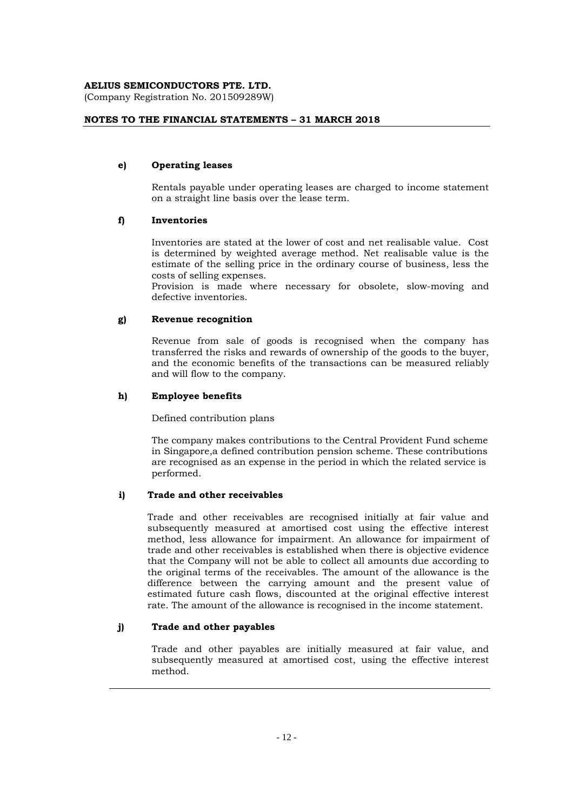(Company Registration No. 201509289W)

#### **NOTES TO THE FINANCIAL STATEMENTS – 31 MARCH 2018**

#### **e) Operating leases**

Rentals payable under operating leases are charged to income statement on a straight line basis over the lease term.

#### **f) Inventories**

Inventories are stated at the lower of cost and net realisable value. Cost is determined by weighted average method. Net realisable value is the estimate of the selling price in the ordinary course of business, less the costs of selling expenses.

Provision is made where necessary for obsolete, slow-moving and defective inventories.

#### **g) Revenue recognition**

Revenue from sale of goods is recognised when the company has transferred the risks and rewards of ownership of the goods to the buyer, and the economic benefits of the transactions can be measured reliably and will flow to the company.

#### **h) Employee benefits**

Defined contribution plans

 The company makes contributions to the Central Provident Fund scheme in Singapore,a defined contribution pension scheme. These contributions are recognised as an expense in the period in which the related service is performed.

#### **i) Trade and other receivables**

Trade and other receivables are recognised initially at fair value and subsequently measured at amortised cost using the effective interest method, less allowance for impairment. An allowance for impairment of trade and other receivables is established when there is objective evidence that the Company will not be able to collect all amounts due according to the original terms of the receivables. The amount of the allowance is the difference between the carrying amount and the present value of estimated future cash flows, discounted at the original effective interest rate. The amount of the allowance is recognised in the income statement.

#### **j) Trade and other payables**

Trade and other payables are initially measured at fair value, and subsequently measured at amortised cost, using the effective interest method.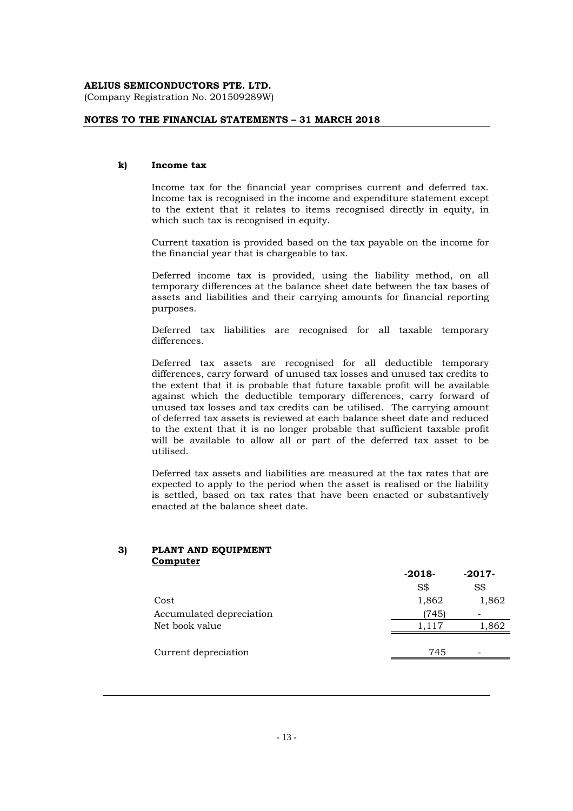(Company Registration No. 201509289W)

#### **NOTES TO THE FINANCIAL STATEMENTS – 31 MARCH 2018**

#### **k) Income tax**

Income tax for the financial year comprises current and deferred tax. Income tax is recognised in the income and expenditure statement except to the extent that it relates to items recognised directly in equity, in which such tax is recognised in equity.

Current taxation is provided based on the tax payable on the income for the financial year that is chargeable to tax.

Deferred income tax is provided, using the liability method, on all temporary differences at the balance sheet date between the tax bases of assets and liabilities and their carrying amounts for financial reporting purposes.

Deferred tax liabilities are recognised for all taxable temporary differences.

Deferred tax assets are recognised for all deductible temporary differences, carry forward of unused tax losses and unused tax credits to the extent that it is probable that future taxable profit will be available against which the deductible temporary differences, carry forward of unused tax losses and tax credits can be utilised. The carrying amount of deferred tax assets is reviewed at each balance sheet date and reduced to the extent that it is no longer probable that sufficient taxable profit will be available to allow all or part of the deferred tax asset to be utilised.

Deferred tax assets and liabilities are measured at the tax rates that are expected to apply to the period when the asset is realised or the liability is settled, based on tax rates that have been enacted or substantively enacted at the balance sheet date.

#### **3) PLANT AND EQUIPMENT Computer**

|                          | $-2018-$ | $-2017-$                 |
|--------------------------|----------|--------------------------|
|                          | S\$      | S\$                      |
| Cost                     | 1,862    | 1,862                    |
| Accumulated depreciation | (745)    |                          |
| Net book value           | 1.117    | 1,862                    |
|                          |          |                          |
| Current depreciation     | 745      | $\overline{\phantom{0}}$ |
|                          |          |                          |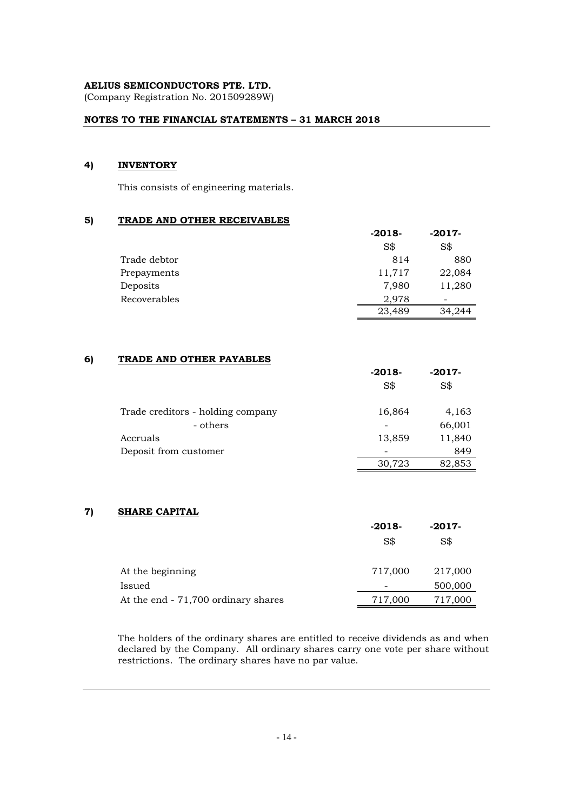(Company Registration No. 201509289W)

#### **NOTES TO THE FINANCIAL STATEMENTS – 31 MARCH 2018**

#### **4) INVENTORY**

This consists of engineering materials.

#### **5) TRADE AND OTHER RECEIVABLES**

|              | $-2018-$ | $-2017-$                 |
|--------------|----------|--------------------------|
|              | S\$      | S\$                      |
| Trade debtor | 814      | 880                      |
| Prepayments  | 11,717   | 22,084                   |
| Deposits     | 7,980    | 11,280                   |
| Recoverables | 2,978    | $\overline{\phantom{0}}$ |
|              | 23,489   | 34,244                   |

#### **6) TRADE AND OTHER PAYABLES**

|                                   | $-2018-$ | $-2017-$ |
|-----------------------------------|----------|----------|
|                                   | S\$      | S\$      |
| Trade creditors - holding company | 16,864   | 4,163    |
| - others                          |          | 66,001   |
| Accruals                          | 13,859   | 11,840   |
| Deposit from customer             |          | 849      |
|                                   | 30,723   | 82,853   |

#### **7) SHARE CAPITAL**

|                                     | $-2018-$<br>S\$ | $-2017-$<br>S\$ |
|-------------------------------------|-----------------|-----------------|
| At the beginning                    | 717,000         | 217,000         |
| Issued                              |                 | 500,000         |
| At the end - 71,700 ordinary shares | 717,000         | 717,000         |

The holders of the ordinary shares are entitled to receive dividends as and when declared by the Company. All ordinary shares carry one vote per share without restrictions. The ordinary shares have no par value.